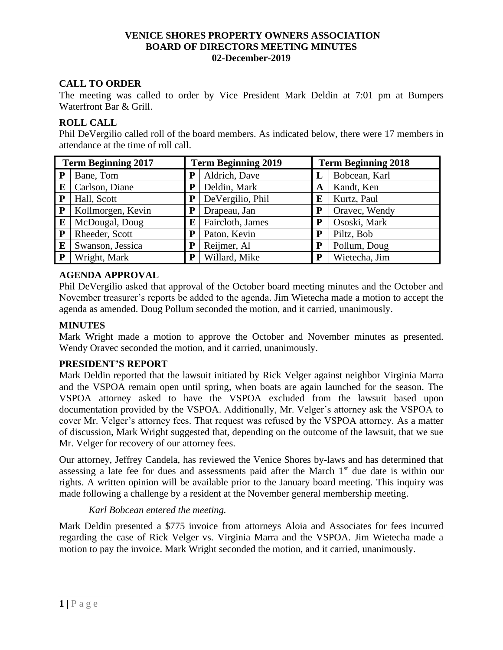## **VENICE SHORES PROPERTY OWNERS ASSOCIATION BOARD OF DIRECTORS MEETING MINUTES 02-December-2019**

# **CALL TO ORDER**

The meeting was called to order by Vice President Mark Deldin at 7:01 pm at Bumpers Waterfront Bar & Grill.

# **ROLL CALL**

Phil DeVergilio called roll of the board members. As indicated below, there were 17 members in attendance at the time of roll call.

| <b>Term Beginning 2017</b> |                   | <b>Term Beginning 2019</b> |                  | <b>Term Beginning 2018</b> |               |
|----------------------------|-------------------|----------------------------|------------------|----------------------------|---------------|
| P                          | Bane, Tom         | P                          | Aldrich, Dave    |                            | Bobcean, Karl |
| E                          | Carlson, Diane    | ${\bf P}$                  | Deldin, Mark     | A                          | Kandt, Ken    |
| ${\bf P}$                  | Hall, Scott       | P                          | DeVergilio, Phil | E                          | Kurtz, Paul   |
| P                          | Kollmorgen, Kevin | P                          | Drapeau, Jan     | P                          | Oravec, Wendy |
| E                          | McDougal, Doug    | E                          | Faircloth, James | P                          | Ososki, Mark  |
| P                          | Rheeder, Scott    | P                          | Paton, Kevin     | P                          | Piltz, Bob    |
| E                          | Swanson, Jessica  | P                          | Reijmer, Al      | P                          | Pollum, Doug  |
| P                          | Wright, Mark      | P                          | Willard, Mike    | P                          | Wietecha, Jim |

# **AGENDA APPROVAL**

Phil DeVergilio asked that approval of the October board meeting minutes and the October and November treasurer's reports be added to the agenda. Jim Wietecha made a motion to accept the agenda as amended. Doug Pollum seconded the motion, and it carried, unanimously.

# **MINUTES**

Mark Wright made a motion to approve the October and November minutes as presented. Wendy Oravec seconded the motion, and it carried, unanimously.

### **PRESIDENT'S REPORT**

Mark Deldin reported that the lawsuit initiated by Rick Velger against neighbor Virginia Marra and the VSPOA remain open until spring, when boats are again launched for the season. The VSPOA attorney asked to have the VSPOA excluded from the lawsuit based upon documentation provided by the VSPOA. Additionally, Mr. Velger's attorney ask the VSPOA to cover Mr. Velger's attorney fees. That request was refused by the VSPOA attorney. As a matter of discussion, Mark Wright suggested that, depending on the outcome of the lawsuit, that we sue Mr. Velger for recovery of our attorney fees.

Our attorney, Jeffrey Candela, has reviewed the Venice Shores by-laws and has determined that assessing a late fee for dues and assessments paid after the March 1<sup>st</sup> due date is within our rights. A written opinion will be available prior to the January board meeting. This inquiry was made following a challenge by a resident at the November general membership meeting.

# *Karl Bobcean entered the meeting.*

Mark Deldin presented a \$775 invoice from attorneys Aloia and Associates for fees incurred regarding the case of Rick Velger vs. Virginia Marra and the VSPOA. Jim Wietecha made a motion to pay the invoice. Mark Wright seconded the motion, and it carried, unanimously.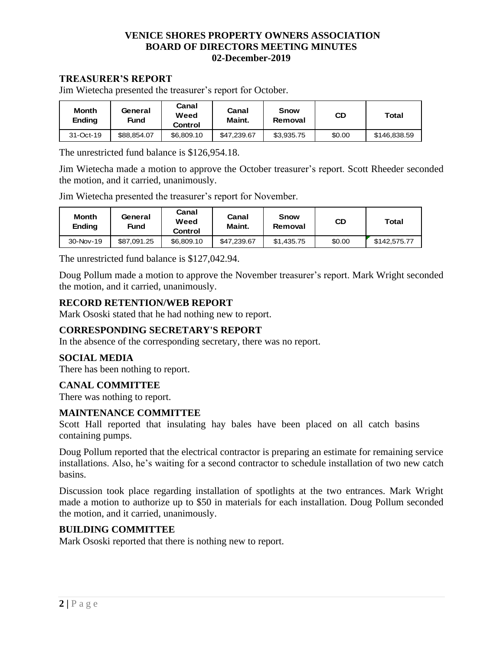# **VENICE SHORES PROPERTY OWNERS ASSOCIATION BOARD OF DIRECTORS MEETING MINUTES 02-December-2019**

### **TREASURER'S REPORT**

Jim Wietecha presented the treasurer's report for October.

| Month<br>Ending | General<br>Fund | Canal<br>Weed<br>Control | Canal<br>Maint. | <b>Snow</b><br>Removal | CD     | Total        |
|-----------------|-----------------|--------------------------|-----------------|------------------------|--------|--------------|
| 31-Oct-19       | \$88.854.07     | \$6,809.10               | \$47,239.67     | \$3,935.75             | \$0.00 | \$146,838.59 |

The unrestricted fund balance is \$126,954.18.

Jim Wietecha made a motion to approve the October treasurer's report. Scott Rheeder seconded the motion, and it carried, unanimously.

Jim Wietecha presented the treasurer's report for November.

| <b>Month</b><br>Ending | General<br>Fund |            | Canal<br>Maint. | <b>Snow</b><br>Removal | CD     | Total        |
|------------------------|-----------------|------------|-----------------|------------------------|--------|--------------|
| 30-Nov-19              | \$87.091.25     | \$6,809.10 | \$47.239.67     | \$1.435.75             | \$0.00 | \$142,575.77 |

The unrestricted fund balance is \$127,042.94.

Doug Pollum made a motion to approve the November treasurer's report. Mark Wright seconded the motion, and it carried, unanimously.

### **RECORD RETENTION/WEB REPORT**

Mark Ososki stated that he had nothing new to report.

### **CORRESPONDING SECRETARY'S REPORT**

In the absence of the corresponding secretary, there was no report.

#### **SOCIAL MEDIA**

There has been nothing to report.

#### **CANAL COMMITTEE**

There was nothing to report.

#### **MAINTENANCE COMMITTEE**

Scott Hall reported that insulating hay bales have been placed on all catch basins containing pumps.

Doug Pollum reported that the electrical contractor is preparing an estimate for remaining service installations. Also, he's waiting for a second contractor to schedule installation of two new catch basins.

Discussion took place regarding installation of spotlights at the two entrances. Mark Wright made a motion to authorize up to \$50 in materials for each installation. Doug Pollum seconded the motion, and it carried, unanimously.

# **BUILDING COMMITTEE**

Mark Ososki reported that there is nothing new to report.